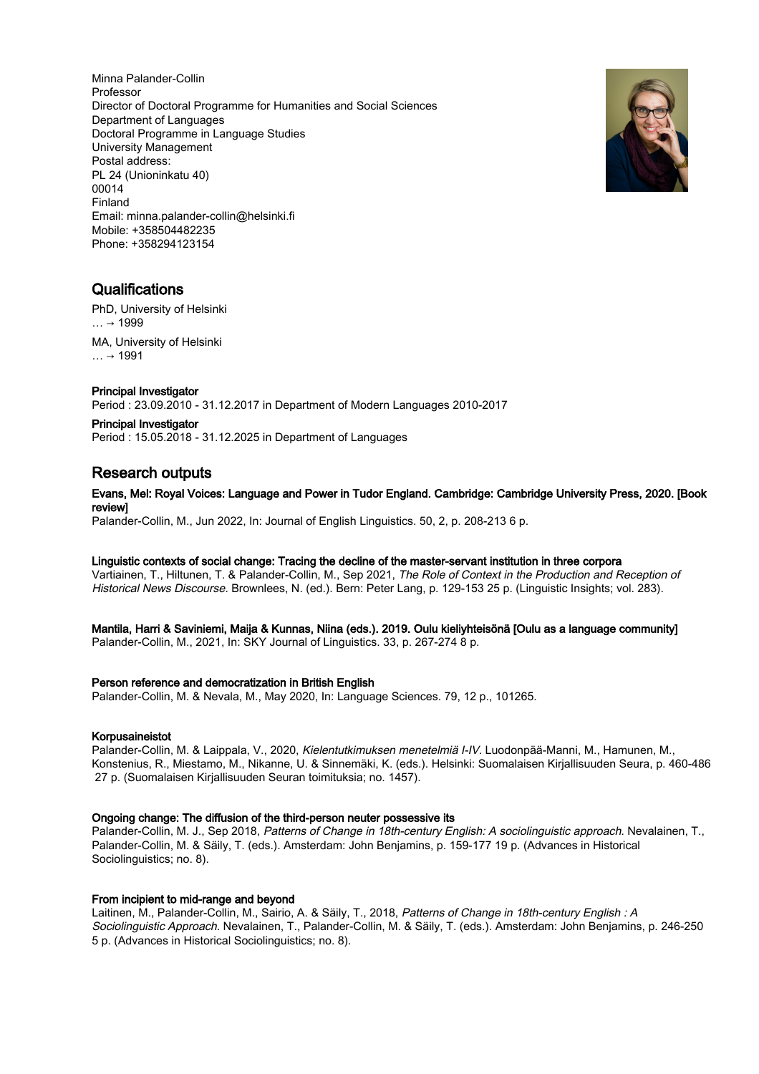Minna Palander-Collin Professor Director of Doctoral Programme for Humanities and Social Sciences Department of Languages Doctoral Programme in Language Studies University Management Postal address: PL 24 (Unioninkatu 40) 00014 Finland Email: minna.palander-collin@helsinki.fi Mobile: +358504482235 Phone: +358294123154



## **Qualifications**

PhD, University of Helsinki  $… → 1999$ MA, University of Helsinki  $... \rightarrow 1991$ 

## Principal Investigator

Period : 23.09.2010 - 31.12.2017 in Department of Modern Languages 2010-2017

Principal Investigator Period : 15.05.2018 - 31.12.2025 in Department of Languages

# Research outputs

## Evans, Mel: Royal Voices: Language and Power in Tudor England. Cambridge: Cambridge University Press, 2020. [Book review]

Palander-Collin, M., Jun 2022, In: Journal of English Linguistics. 50, 2, p. 208-213 6 p.

## Linguistic contexts of social change: Tracing the decline of the master-servant institution in three corpora

Vartiainen, T., Hiltunen, T. & Palander-Collin, M., Sep 2021, The Role of Context in the Production and Reception of Historical News Discourse. Brownlees, N. (ed.). Bern: Peter Lang, p. 129-153 25 p. (Linguistic Insights; vol. 283).

## Mantila, Harri & Saviniemi, Maija & Kunnas, Niina (eds.). 2019. Oulu kieliyhteisönä [Oulu as a language community]

Palander-Collin, M., 2021, In: SKY Journal of Linguistics. 33, p. 267-274 8 p.

## Person reference and democratization in British English

Palander-Collin, M. & Nevala, M., May 2020, In: Language Sciences. 79, 12 p., 101265.

## Korpusaineistot

Palander-Collin, M. & Laippala, V., 2020, Kielentutkimuksen menetelmiä I-IV. Luodonpää-Manni, M., Hamunen, M., Konstenius, R., Miestamo, M., Nikanne, U. & Sinnemäki, K. (eds.). Helsinki: Suomalaisen Kirjallisuuden Seura, p. 460-486 27 p. (Suomalaisen Kirjallisuuden Seuran toimituksia; no. 1457).

## Ongoing change: The diffusion of the third-person neuter possessive its

Palander-Collin, M. J., Sep 2018, Patterns of Change in 18th-century English: A sociolinguistic approach. Nevalainen, T., Palander-Collin, M. & Säily, T. (eds.). Amsterdam: John Benjamins, p. 159-177 19 p. (Advances in Historical Sociolinguistics; no. 8).

## From incipient to mid-range and beyond

Laitinen, M., Palander-Collin, M., Sairio, A. & Säily, T., 2018, Patterns of Change in 18th-century English : A Sociolinguistic Approach. Nevalainen, T., Palander-Collin, M. & Säily, T. (eds.). Amsterdam: John Benjamins, p. 246-250 5 p. (Advances in Historical Sociolinguistics; no. 8).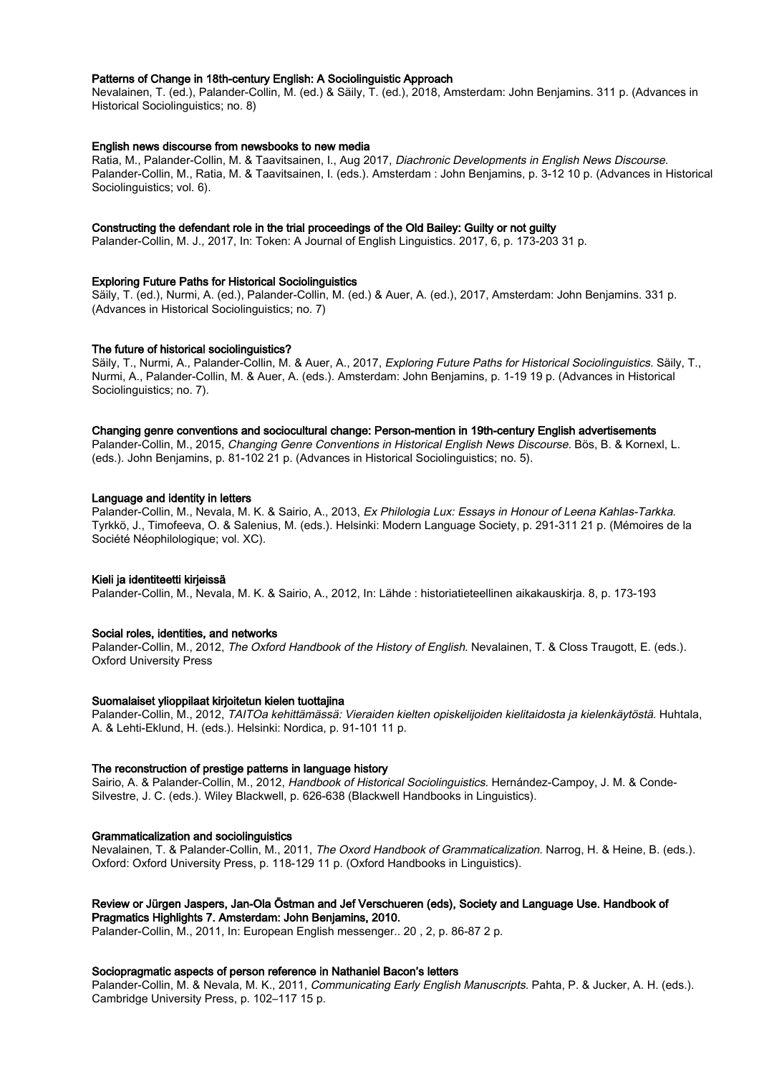## Patterns of Change in 18th-century English: A Sociolinguistic Approach

Nevalainen, T. (ed.), Palander-Collin, M. (ed.) & Säily, T. (ed.), 2018, Amsterdam: John Benjamins. 311 p. (Advances in Historical Sociolinguistics; no. 8)

## English news discourse from newsbooks to new media

Ratia, M., Palander-Collin, M. & Taavitsainen, I., Aug 2017, Diachronic Developments in English News Discourse. Palander-Collin, M., Ratia, M. & Taavitsainen, I. (eds.). Amsterdam : John Benjamins, p. 3-12 10 p. (Advances in Historical Sociolinguistics; vol. 6).

## Constructing the defendant role in the trial proceedings of the Old Bailey: Guilty or not guilty

Palander-Collin, M. J., 2017, In: Token: A Journal of English Linguistics. 2017, 6, p. 173-203 31 p.

## Exploring Future Paths for Historical Sociolinguistics

Säily, T. (ed.), Nurmi, A. (ed.), Palander-Collin, M. (ed.) & Auer, A. (ed.), 2017, Amsterdam: John Benjamins. 331 p. (Advances in Historical Sociolinguistics; no. 7)

## The future of historical sociolinguistics?

Säily, T., Nurmi, A., Palander-Collin, M. & Auer, A., 2017, Exploring Future Paths for Historical Sociolinguistics. Säily, T., Nurmi, A., Palander-Collin, M. & Auer, A. (eds.). Amsterdam: John Benjamins, p. 1-19 19 p. (Advances in Historical Sociolinguistics; no. 7).

#### Changing genre conventions and sociocultural change: Person-mention in 19th-century English advertisements

Palander-Collin, M., 2015, Changing Genre Conventions in Historical English News Discourse. Bös, B. & Kornexl, L. (eds.). John Benjamins, p. 81-102 21 p. (Advances in Historical Sociolinguistics; no. 5).

## Language and identity in letters

Palander-Collin, M., Nevala, M. K. & Sairio, A., 2013, Ex Philologia Lux: Essays in Honour of Leena Kahlas-Tarkka. Tyrkkö, J., Timofeeva, O. & Salenius, M. (eds.). Helsinki: Modern Language Society, p. 291-311 21 p. (Mémoires de la Société Néophilologique; vol. XC).

#### Kieli ja identiteetti kirjeissä

Palander-Collin, M., Nevala, M. K. & Sairio, A., 2012, In: Lähde : historiatieteellinen aikakauskirja. 8, p. 173-193

#### Social roles, identities, and networks

Palander-Collin, M., 2012, The Oxford Handbook of the History of English. Nevalainen, T. & Closs Traugott, E. (eds.). Oxford University Press

#### Suomalaiset ylioppilaat kirjoitetun kielen tuottajina

Palander-Collin, M., 2012, TAITOa kehittämässä: Vieraiden kielten opiskelijoiden kielitaidosta ja kielenkäytöstä. Huhtala, A. & Lehti-Eklund, H. (eds.). Helsinki: Nordica, p. 91-101 11 p.

#### The reconstruction of prestige patterns in language history

Sairio, A. & Palander-Collin, M., 2012, Handbook of Historical Sociolinguistics. Hernández-Campoy, J. M. & Conde-Silvestre, J. C. (eds.). Wiley Blackwell, p. 626-638 (Blackwell Handbooks in Linguistics).

#### Grammaticalization and sociolinguistics

Nevalainen, T. & Palander-Collin, M., 2011, The Oxord Handbook of Grammaticalization. Narrog, H. & Heine, B. (eds.). Oxford: Oxford University Press, p. 118-129 11 p. (Oxford Handbooks in Linguistics).

#### Review or Jürgen Jaspers, Jan-Ola Östman and Jef Verschueren (eds), Society and Language Use. Handbook of Pragmatics Highlights 7. Amsterdam: John Benjamins, 2010.

Palander-Collin, M., 2011, In: European English messenger.. 20 , 2, p. 86-87 2 p.

## Sociopragmatic aspects of person reference in Nathaniel Bacon's letters

Palander-Collin, M. & Nevala, M. K., 2011, Communicating Early English Manuscripts. Pahta, P. & Jucker, A. H. (eds.). Cambridge University Press, p. 102–117 15 p.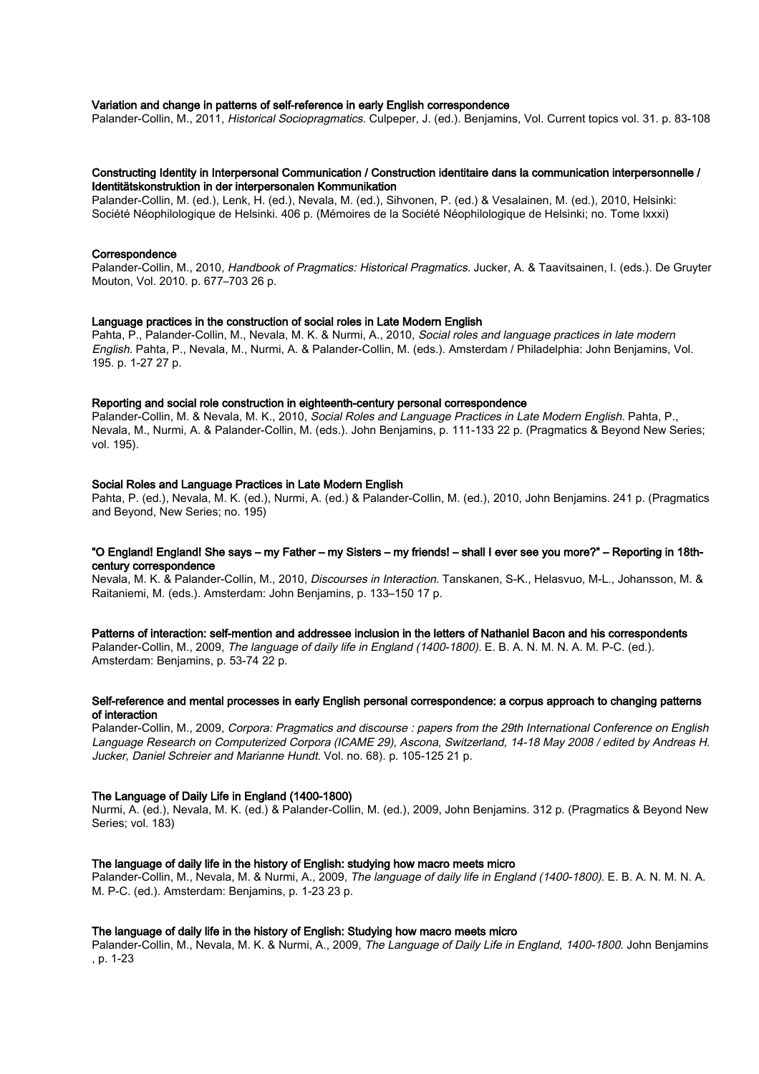## Variation and change in patterns of self-reference in early English correspondence

Palander-Collin, M., 2011, Historical Sociopragmatics. Culpeper, J. (ed.). Benjamins, Vol. Current topics vol. 31. p. 83-108

## Constructing Identity in Interpersonal Communication / Construction identitaire dans la communication interpersonnelle / Identitätskonstruktion in der interpersonalen Kommunikation

Palander-Collin, M. (ed.), Lenk, H. (ed.), Nevala, M. (ed.), Sihvonen, P. (ed.) & Vesalainen, M. (ed.), 2010, Helsinki: Société Néophilologique de Helsinki. 406 p. (Mémoires de la Société Néophilologique de Helsinki; no. Tome lxxxi)

#### **Correspondence**

Palander-Collin, M., 2010, Handbook of Pragmatics: Historical Pragmatics. Jucker, A. & Taavitsainen, I. (eds.). De Gruyter Mouton, Vol. 2010. p. 677–703 26 p.

#### Language practices in the construction of social roles in Late Modern English

Pahta, P., Palander-Collin, M., Nevala, M. K. & Nurmi, A., 2010, Social roles and language practices in late modern English. Pahta, P., Nevala, M., Nurmi, A. & Palander-Collin, M. (eds.). Amsterdam / Philadelphia: John Benjamins, Vol. 195. p. 1-27 27 p.

## Reporting and social role construction in eighteenth-century personal correspondence

Palander-Collin, M. & Nevala, M. K., 2010, Social Roles and Language Practices in Late Modern English. Pahta, P., Nevala, M., Nurmi, A. & Palander-Collin, M. (eds.). John Benjamins, p. 111-133 22 p. (Pragmatics & Beyond New Series; vol. 195).

## Social Roles and Language Practices in Late Modern English

Pahta, P. (ed.), Nevala, M. K. (ed.), Nurmi, A. (ed.) & Palander-Collin, M. (ed.), 2010, John Benjamins. 241 p. (Pragmatics and Beyond, New Series; no. 195)

## "O England! England! She says – my Father – my Sisters – my friends! – shall I ever see you more?" – Reporting in 18thcentury correspondence

Nevala, M. K. & Palander-Collin, M., 2010, Discourses in Interaction. Tanskanen, S-K., Helasvuo, M-L., Johansson, M. & Raitaniemi, M. (eds.). Amsterdam: John Benjamins, p. 133–150 17 p.

#### Patterns of interaction: self-mention and addressee inclusion in the letters of Nathaniel Bacon and his correspondents

Palander-Collin, M., 2009, The language of daily life in England (1400-1800). E. B. A. N. M. N. A. M. P-C. (ed.). Amsterdam: Benjamins, p. 53-74 22 p.

#### Self-reference and mental processes in early English personal correspondence: a corpus approach to changing patterns of interaction

Palander-Collin, M., 2009, Corpora: Pragmatics and discourse : papers from the 29th International Conference on English Language Research on Computerized Corpora (ICAME 29), Ascona, Switzerland, 14-18 May 2008 / edited by Andreas H. Jucker, Daniel Schreier and Marianne Hundt. Vol. no. 68). p. 105-125 21 p.

## The Language of Daily Life in England (1400-1800)

Nurmi, A. (ed.), Nevala, M. K. (ed.) & Palander-Collin, M. (ed.), 2009, John Benjamins. 312 p. (Pragmatics & Beyond New Series; vol. 183)

#### The language of daily life in the history of English: studying how macro meets micro

Palander-Collin, M., Nevala, M. & Nurmi, A., 2009, The language of daily life in England (1400-1800). E. B. A. N. M. N. A. M. P-C. (ed.). Amsterdam: Benjamins, p. 1-23 23 p.

## The language of daily life in the history of English: Studying how macro meets micro

Palander-Collin, M., Nevala, M. K. & Nurmi, A., 2009. The Language of Daily Life in England, 1400-1800. John Benjamins , p. 1-23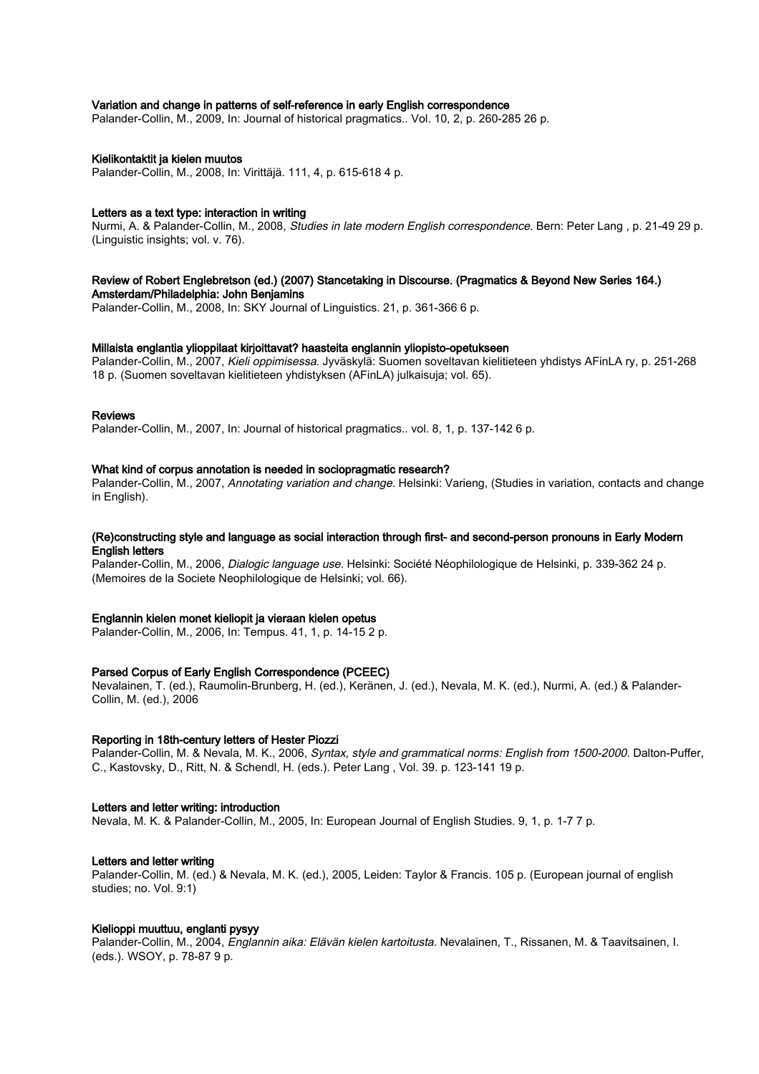## Variation and change in patterns of self-reference in early English correspondence

Palander-Collin, M., 2009, In: Journal of historical pragmatics.. Vol. 10, 2, p. 260-285 26 p.

#### Kielikontaktit ja kielen muutos

Palander-Collin, M., 2008, In: Virittäjä. 111, 4, p. 615-618 4 p.

#### Letters as a text type: interaction in writing

Nurmi, A. & Palander-Collin, M., 2008, Studies in late modern English correspondence. Bern: Peter Lang , p. 21-49 29 p. (Linguistic insights; vol. v. 76).

#### Review of Robert Englebretson (ed.) (2007) Stancetaking in Discourse. (Pragmatics & Beyond New Series 164.) Amsterdam/Philadelphia: John Benjamins

Palander-Collin, M., 2008, In: SKY Journal of Linguistics. 21, p. 361-366 6 p.

## Millaista englantia ylioppilaat kirjoittavat? haasteita englannin yliopisto-opetukseen

Palander-Collin, M., 2007, Kieli oppimisessa. Jyväskylä: Suomen soveltavan kielitieteen yhdistys AFinLA ry, p. 251-268 18 p. (Suomen soveltavan kielitieteen yhdistyksen (AFinLA) julkaisuja; vol. 65).

## Reviews

Palander-Collin, M., 2007, In: Journal of historical pragmatics.. vol. 8, 1, p. 137-142 6 p.

#### What kind of corpus annotation is needed in sociopragmatic research?

Palander-Collin, M., 2007, Annotating variation and change. Helsinki: Varieng, (Studies in variation, contacts and change in English).

## (Re)constructing style and language as social interaction through first- and second-person pronouns in Early Modern English letters

Palander-Collin, M., 2006, Dialogic language use. Helsinki: Société Néophilologique de Helsinki, p. 339-362 24 p. (Memoires de la Societe Neophilologique de Helsinki; vol. 66).

#### Englannin kielen monet kieliopit ja vieraan kielen opetus

Palander-Collin, M., 2006, In: Tempus. 41, 1, p. 14-15 2 p.

#### Parsed Corpus of Early English Correspondence (PCEEC)

Nevalainen, T. (ed.), Raumolin-Brunberg, H. (ed.), Keränen, J. (ed.), Nevala, M. K. (ed.), Nurmi, A. (ed.) & Palander-Collin, M. (ed.), 2006

#### Reporting in 18th-century letters of Hester Piozzi

Palander-Collin, M. & Nevala, M. K., 2006, Syntax, style and grammatical norms: English from 1500-2000. Dalton-Puffer, C., Kastovsky, D., Ritt, N. & Schendl, H. (eds.). Peter Lang , Vol. 39. p. 123-141 19 p.

## Letters and letter writing: introduction

Nevala, M. K. & Palander-Collin, M., 2005, In: European Journal of English Studies. 9, 1, p. 1-7 7 p.

#### Letters and letter writing

Palander-Collin, M. (ed.) & Nevala, M. K. (ed.), 2005, Leiden: Taylor & Francis. 105 p. (European journal of english studies; no. Vol. 9:1)

## Kielioppi muuttuu, englanti pysyy

Palander-Collin, M., 2004, Englannin aika: Elävän kielen kartoitusta. Nevalainen, T., Rissanen, M. & Taavitsainen, I. (eds.). WSOY, p. 78-87 9 p.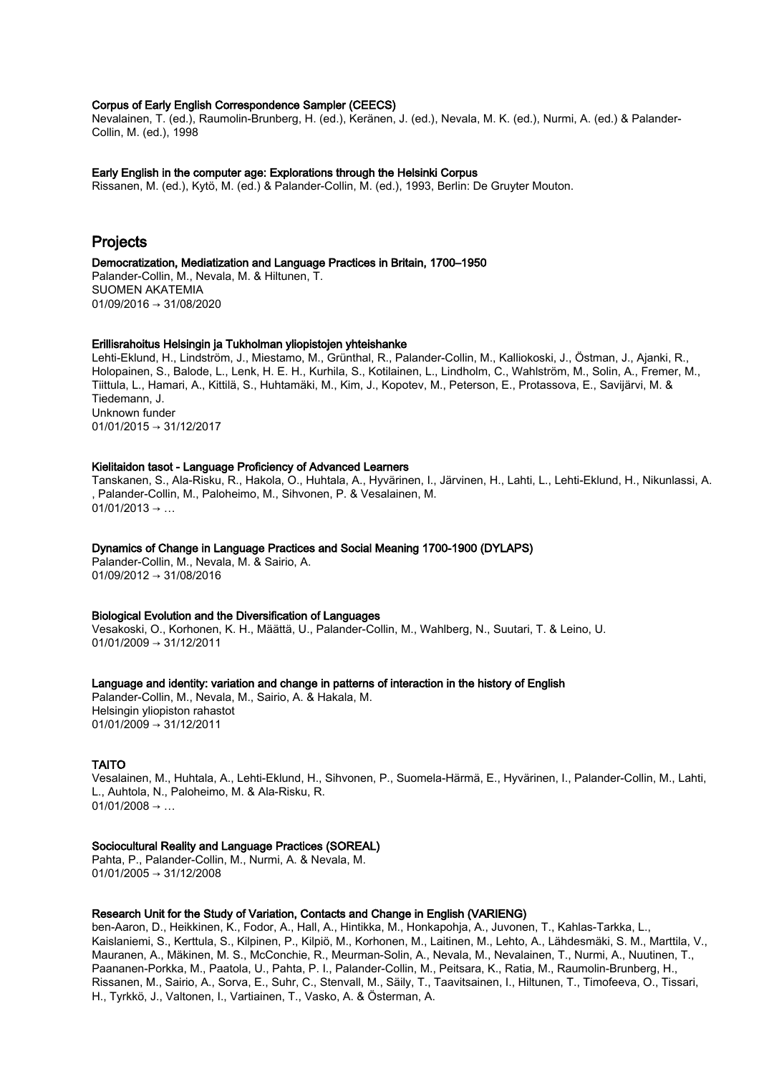## Corpus of Early English Correspondence Sampler (CEECS)

Nevalainen, T. (ed.), Raumolin-Brunberg, H. (ed.), Keränen, J. (ed.), Nevala, M. K. (ed.), Nurmi, A. (ed.) & Palander-Collin, M. (ed.), 1998

#### Early English in the computer age: Explorations through the Helsinki Corpus

Rissanen, M. (ed.), Kytö, M. (ed.) & Palander-Collin, M. (ed.), 1993, Berlin: De Gruyter Mouton.

# Projects

## Democratization, Mediatization and Language Practices in Britain, 1700–1950

Palander-Collin, M., Nevala, M. & Hiltunen, T. SUOMEN AKATEMIA 01/09/2016 → 31/08/2020

#### Erillisrahoitus Helsingin ja Tukholman yliopistojen yhteishanke

Lehti-Eklund, H., Lindström, J., Miestamo, M., Grünthal, R., Palander-Collin, M., Kalliokoski, J., Östman, J., Ajanki, R., Holopainen, S., Balode, L., Lenk, H. E. H., Kurhila, S., Kotilainen, L., Lindholm, C., Wahlström, M., Solin, A., Fremer, M., Tiittula, L., Hamari, A., Kittilä, S., Huhtamäki, M., Kim, J., Kopotev, M., Peterson, E., Protassova, E., Savijärvi, M. & Tiedemann, J. Unknown funder 01/01/2015 → 31/12/2017

## Kielitaidon tasot - Language Proficiency of Advanced Learners

Tanskanen, S., Ala-Risku, R., Hakola, O., Huhtala, A., Hyvärinen, I., Järvinen, H., Lahti, L., Lehti-Eklund, H., Nikunlassi, A. , Palander-Collin, M., Paloheimo, M., Sihvonen, P. & Vesalainen, M.  $01/01/2013 \rightarrow ...$ 

## Dynamics of Change in Language Practices and Social Meaning 1700-1900 (DYLAPS)

Palander-Collin, M., Nevala, M. & Sairio, A. 01/09/2012 → 31/08/2016

#### Biological Evolution and the Diversification of Languages

Vesakoski, O., Korhonen, K. H., Määttä, U., Palander-Collin, M., Wahlberg, N., Suutari, T. & Leino, U. 01/01/2009 → 31/12/2011

#### Language and identity: variation and change in patterns of interaction in the history of English

Palander-Collin, M., Nevala, M., Sairio, A. & Hakala, M. Helsingin yliopiston rahastot 01/01/2009 → 31/12/2011

#### TAITO

Vesalainen, M., Huhtala, A., Lehti-Eklund, H., Sihvonen, P., Suomela-Härmä, E., Hyvärinen, I., Palander-Collin, M., Lahti, L., Auhtola, N., Paloheimo, M. & Ala-Risku, R.  $01/01/2008 \rightarrow ...$ 

## Sociocultural Reality and Language Practices (SOREAL)

Pahta, P., Palander-Collin, M., Nurmi, A. & Nevala, M. 01/01/2005 → 31/12/2008

## Research Unit for the Study of Variation, Contacts and Change in English (VARIENG)

ben-Aaron, D., Heikkinen, K., Fodor, A., Hall, A., Hintikka, M., Honkapohja, A., Juvonen, T., Kahlas-Tarkka, L., Kaislaniemi, S., Kerttula, S., Kilpinen, P., Kilpiö, M., Korhonen, M., Laitinen, M., Lehto, A., Lähdesmäki, S. M., Marttila, V., Mauranen, A., Mäkinen, M. S., McConchie, R., Meurman-Solin, A., Nevala, M., Nevalainen, T., Nurmi, A., Nuutinen, T., Paananen-Porkka, M., Paatola, U., Pahta, P. I., Palander-Collin, M., Peitsara, K., Ratia, M., Raumolin-Brunberg, H., Rissanen, M., Sairio, A., Sorva, E., Suhr, C., Stenvall, M., Säily, T., Taavitsainen, I., Hiltunen, T., Timofeeva, O., Tissari, H., Tyrkkö, J., Valtonen, I., Vartiainen, T., Vasko, A. & Österman, A.